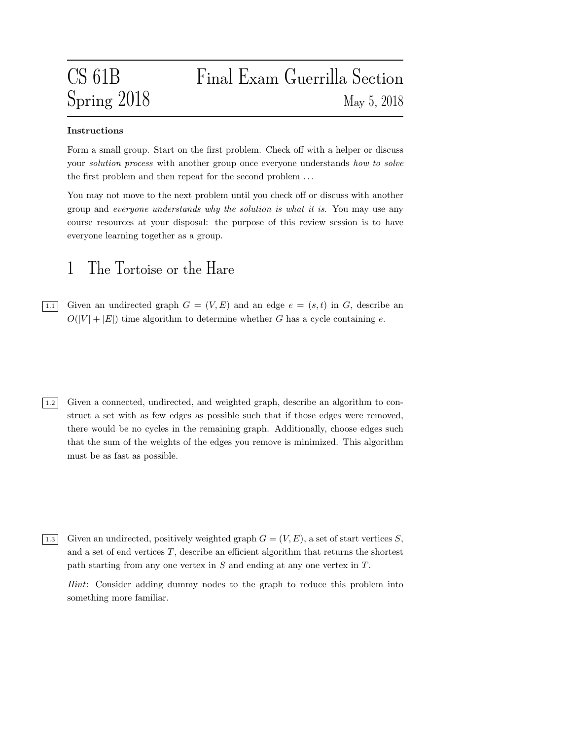# CS 61B Final Exam Guerrilla Section Spring 2018 May 5, 2018

### Instructions

Form a small group. Start on the first problem. Check off with a helper or discuss your *solution process* with another group once everyone understands how to solve the first problem and then repeat for the second problem . . .

You may not move to the next problem until you check off or discuss with another group and everyone understands why the solution is what it is. You may use any course resources at your disposal: the purpose of this review session is to have everyone learning together as a group.

### 1 The Tortoise or the Hare

 $\boxed{1.1}$  Given an undirected graph  $G = (V, E)$  and an edge  $e = (s, t)$  in G, describe an  $O(|V| + |E|)$  time algorithm to determine whether G has a cycle containing e.

- 1.2 Given a connected, undirected, and weighted graph, describe an algorithm to construct a set with as few edges as possible such that if those edges were removed, there would be no cycles in the remaining graph. Additionally, choose edges such that the sum of the weights of the edges you remove is minimized. This algorithm must be as fast as possible.
- $\boxed{1.3}$  Given an undirected, positively weighted graph  $G = (V, E)$ , a set of start vertices S, and a set of end vertices  $T$ , describe an efficient algorithm that returns the shortest path starting from any one vertex in S and ending at any one vertex in T.

Hint: Consider adding dummy nodes to the graph to reduce this problem into something more familiar.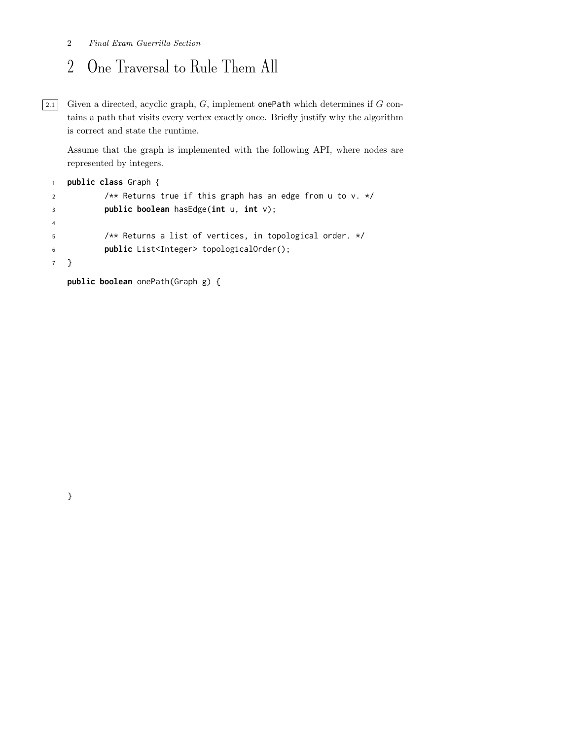### 2 Final Exam Guerrilla Section

## 2 One Traversal to Rule Them All

 $\boxed{2.1}$  Given a directed, acyclic graph, G, implement onePath which determines if G contains a path that visits every vertex exactly once. Briefly justify why the algorithm is correct and state the runtime.

Assume that the graph is implemented with the following API, where nodes are represented by integers.

```
1 public class Graph {
2 /** Returns true if this graph has an edge from u to v. */
3 public boolean hasEdge(int u, int v);
4
5 /** Returns a list of vertices, in topological order. */
6 public List<Integer> topologicalOrder();
7 }
```
public boolean onePath(Graph g) {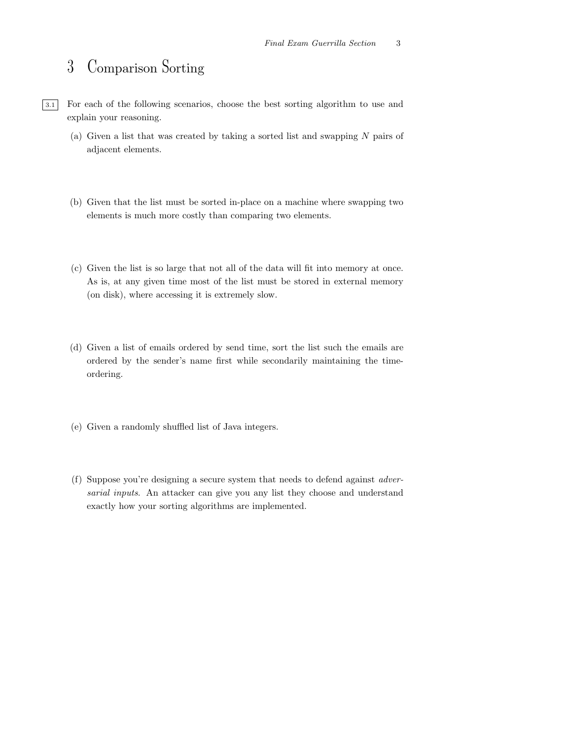## 3 Comparison Sorting

- 3.1 For each of the following scenarios, choose the best sorting algorithm to use and explain your reasoning.
	- (a) Given a list that was created by taking a sorted list and swapping N pairs of adjacent elements.
	- (b) Given that the list must be sorted in-place on a machine where swapping two elements is much more costly than comparing two elements.
	- (c) Given the list is so large that not all of the data will fit into memory at once. As is, at any given time most of the list must be stored in external memory (on disk), where accessing it is extremely slow.
	- (d) Given a list of emails ordered by send time, sort the list such the emails are ordered by the sender's name first while secondarily maintaining the timeordering.
	- (e) Given a randomly shuffled list of Java integers.
	- (f) Suppose you're designing a secure system that needs to defend against adversarial inputs. An attacker can give you any list they choose and understand exactly how your sorting algorithms are implemented.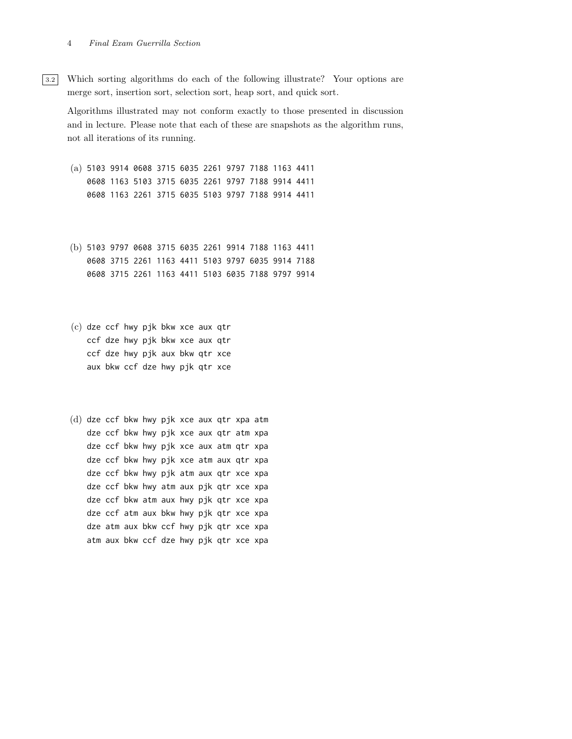#### 4 Final Exam Guerrilla Section

3.2 Which sorting algorithms do each of the following illustrate? Your options are merge sort, insertion sort, selection sort, heap sort, and quick sort.

Algorithms illustrated may not conform exactly to those presented in discussion and in lecture. Please note that each of these are snapshots as the algorithm runs, not all iterations of its running.

- (a) 5103 9914 0608 3715 6035 2261 9797 7188 1163 4411 0608 1163 5103 3715 6035 2261 9797 7188 9914 4411 0608 1163 2261 3715 6035 5103 9797 7188 9914 4411
- (b) 5103 9797 0608 3715 6035 2261 9914 7188 1163 4411 0608 3715 2261 1163 4411 5103 9797 6035 9914 7188 0608 3715 2261 1163 4411 5103 6035 7188 9797 9914
- (c) dze ccf hwy pjk bkw xce aux qtr ccf dze hwy pjk bkw xce aux qtr ccf dze hwy pjk aux bkw qtr xce aux bkw ccf dze hwy pjk qtr xce
- (d) dze ccf bkw hwy pjk xce aux qtr xpa atm dze ccf bkw hwy pjk xce aux qtr atm xpa dze ccf bkw hwy pjk xce aux atm qtr xpa dze ccf bkw hwy pjk xce atm aux qtr xpa dze ccf bkw hwy pjk atm aux qtr xce xpa dze ccf bkw hwy atm aux pjk qtr xce xpa dze ccf bkw atm aux hwy pjk qtr xce xpa dze ccf atm aux bkw hwy pjk qtr xce xpa dze atm aux bkw ccf hwy pjk qtr xce xpa atm aux bkw ccf dze hwy pjk qtr xce xpa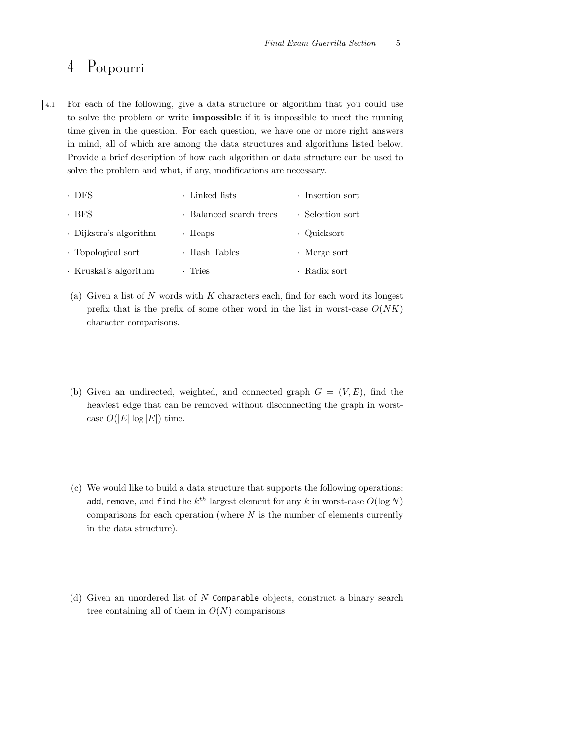## 4 Potpourri

4.1 For each of the following, give a data structure or algorithm that you could use to solve the problem or write impossible if it is impossible to meet the running time given in the question. For each question, we have one or more right answers in mind, all of which are among the data structures and algorithms listed below. Provide a brief description of how each algorithm or data structure can be used to solve the problem and what, if any, modifications are necessary.

| $\cdot$ DFS                  | Linked lists            | · Insertion sort   |
|------------------------------|-------------------------|--------------------|
| · BFS                        | · Balanced search trees | · Selection sort   |
| $\cdot$ Dijkstra's algorithm | $\cdot$ Heaps           | · Quicksort        |
| · Topological sort           | · Hash Tables           | $\cdot$ Merge sort |
| · Kruskal's algorithm        | · Tries                 | · Radix sort       |

- (a) Given a list of  $N$  words with  $K$  characters each, find for each word its longest prefix that is the prefix of some other word in the list in worst-case  $O(NK)$ character comparisons.
- (b) Given an undirected, weighted, and connected graph  $G = (V, E)$ , find the heaviest edge that can be removed without disconnecting the graph in worstcase  $O(|E|\log |E|)$  time.
- (c) We would like to build a data structure that supports the following operations: add, remove, and find the  $k^{th}$  largest element for any  $k$  in worst-case  $O(\log N)$ comparisons for each operation (where  $N$  is the number of elements currently in the data structure).
- (d) Given an unordered list of N Comparable objects, construct a binary search tree containing all of them in  $O(N)$  comparisons.